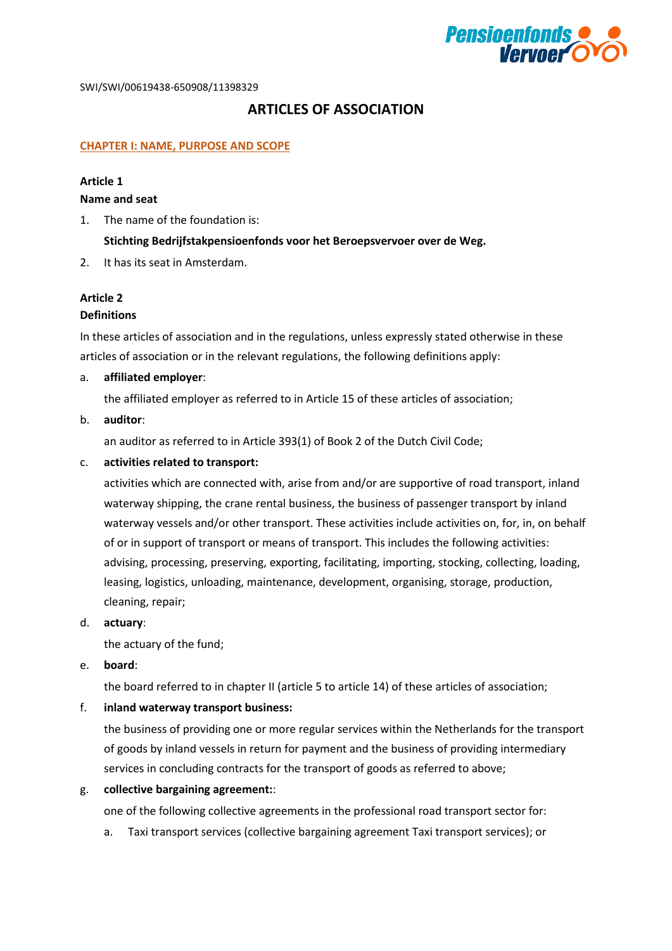

# **ARTICLES OF ASSOCIATION**

#### **CHAPTER I: NAME, PURPOSE AND SCOPE**

#### **Article 1**

#### **Name and seat**

1. The name of the foundation is:

#### **Stichting Bedrijfstakpensioenfonds voor het Beroepsvervoer over de Weg.**

2. It has its seat in Amsterdam.

#### **Article 2**

#### **Definitions**

In these articles of association and in the regulations, unless expressly stated otherwise in these articles of association or in the relevant regulations, the following definitions apply:

#### a. **affiliated employer**:

the affiliated employer as referred to in Article 15 of these articles of association;

#### b. **auditor**:

an auditor as referred to in Article 393(1) of Book 2 of the Dutch Civil Code;

#### c. **activities related to transport:**

activities which are connected with, arise from and/or are supportive of road transport, inland waterway shipping, the crane rental business, the business of passenger transport by inland waterway vessels and/or other transport. These activities include activities on, for, in, on behalf of or in support of transport or means of transport. This includes the following activities: advising, processing, preserving, exporting, facilitating, importing, stocking, collecting, loading, leasing, logistics, unloading, maintenance, development, organising, storage, production, cleaning, repair;

d. **actuary**:

the actuary of the fund;

e. **board**:

the board referred to in chapter II (article 5 to article 14) of these articles of association;

#### f. **inland waterway transport business:**

the business of providing one or more regular services within the Netherlands for the transport of goods by inland vessels in return for payment and the business of providing intermediary services in concluding contracts for the transport of goods as referred to above;

g. **collective bargaining agreement:**:

one of the following collective agreements in the professional road transport sector for:

a. Taxi transport services (collective bargaining agreement Taxi transport services); or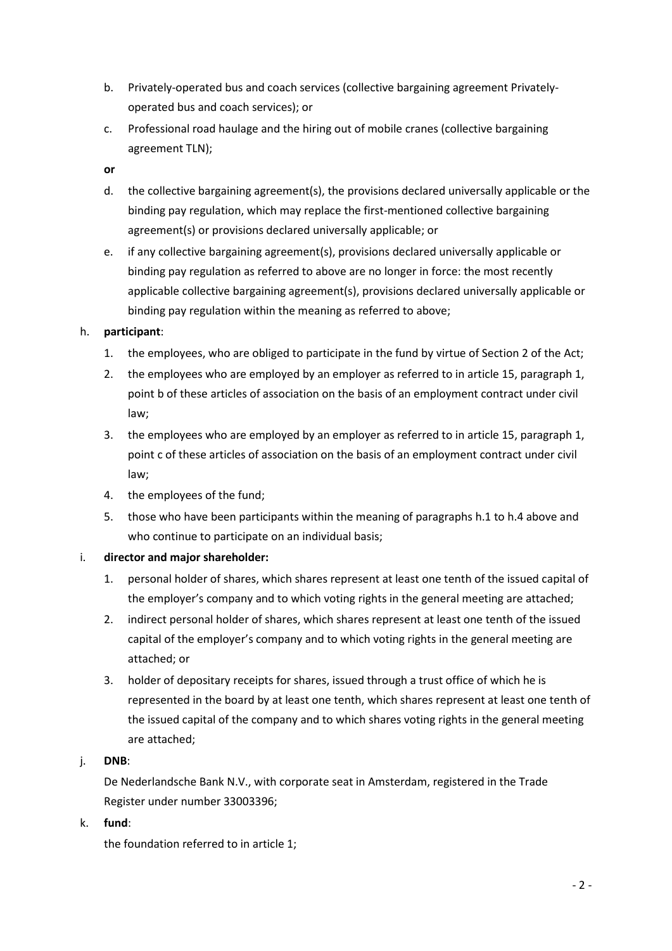- b. Privately-operated bus and coach services (collective bargaining agreement Privatelyoperated bus and coach services); or
- c. Professional road haulage and the hiring out of mobile cranes (collective bargaining agreement TLN);
- **or**
- d. the collective bargaining agreement(s), the provisions declared universally applicable or the binding pay regulation, which may replace the first-mentioned collective bargaining agreement(s) or provisions declared universally applicable; or
- e. if any collective bargaining agreement(s), provisions declared universally applicable or binding pay regulation as referred to above are no longer in force: the most recently applicable collective bargaining agreement(s), provisions declared universally applicable or binding pay regulation within the meaning as referred to above;

# h. **participant**:

- 1. the employees, who are obliged to participate in the fund by virtue of Section 2 of the Act;
- 2. the employees who are employed by an employer as referred to in article 15, paragraph 1, point b of these articles of association on the basis of an employment contract under civil law;
- 3. the employees who are employed by an employer as referred to in article 15, paragraph 1, point c of these articles of association on the basis of an employment contract under civil law;
- 4. the employees of the fund;
- 5. those who have been participants within the meaning of paragraphs h.1 to h.4 above and who continue to participate on an individual basis;

# i. **director and major shareholder:**

- 1. personal holder of shares, which shares represent at least one tenth of the issued capital of the employer's company and to which voting rights in the general meeting are attached;
- 2. indirect personal holder of shares, which shares represent at least one tenth of the issued capital of the employer's company and to which voting rights in the general meeting are attached; or
- 3. holder of depositary receipts for shares, issued through a trust office of which he is represented in the board by at least one tenth, which shares represent at least one tenth of the issued capital of the company and to which shares voting rights in the general meeting are attached;

# j. **DNB**:

De Nederlandsche Bank N.V., with corporate seat in Amsterdam, registered in the Trade Register under number 33003396;

k. **fund**:

the foundation referred to in article 1;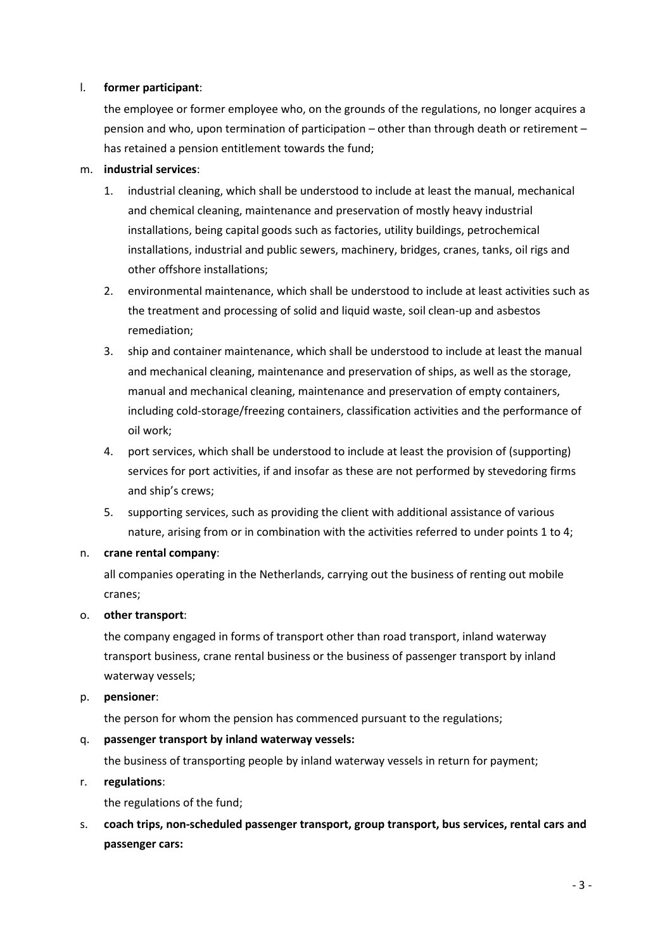## l. **former participant**:

the employee or former employee who, on the grounds of the regulations, no longer acquires a pension and who, upon termination of participation – other than through death or retirement – has retained a pension entitlement towards the fund;

## m. **industrial services**:

- 1. industrial cleaning, which shall be understood to include at least the manual, mechanical and chemical cleaning, maintenance and preservation of mostly heavy industrial installations, being capital goods such as factories, utility buildings, petrochemical installations, industrial and public sewers, machinery, bridges, cranes, tanks, oil rigs and other offshore installations;
- 2. environmental maintenance, which shall be understood to include at least activities such as the treatment and processing of solid and liquid waste, soil clean-up and asbestos remediation;
- 3. ship and container maintenance, which shall be understood to include at least the manual and mechanical cleaning, maintenance and preservation of ships, as well as the storage, manual and mechanical cleaning, maintenance and preservation of empty containers, including cold-storage/freezing containers, classification activities and the performance of oil work;
- 4. port services, which shall be understood to include at least the provision of (supporting) services for port activities, if and insofar as these are not performed by stevedoring firms and ship's crews;
- 5. supporting services, such as providing the client with additional assistance of various nature, arising from or in combination with the activities referred to under points 1 to 4;

#### n. **crane rental company**:

all companies operating in the Netherlands, carrying out the business of renting out mobile cranes;

#### o. **other transport**:

the company engaged in forms of transport other than road transport, inland waterway transport business, crane rental business or the business of passenger transport by inland waterway vessels;

#### p. **pensioner**:

the person for whom the pension has commenced pursuant to the regulations;

# q. **passenger transport by inland waterway vessels:**

the business of transporting people by inland waterway vessels in return for payment;

r. **regulations**:

the regulations of the fund;

s. **coach trips, non-scheduled passenger transport, group transport, bus services, rental cars and passenger cars:**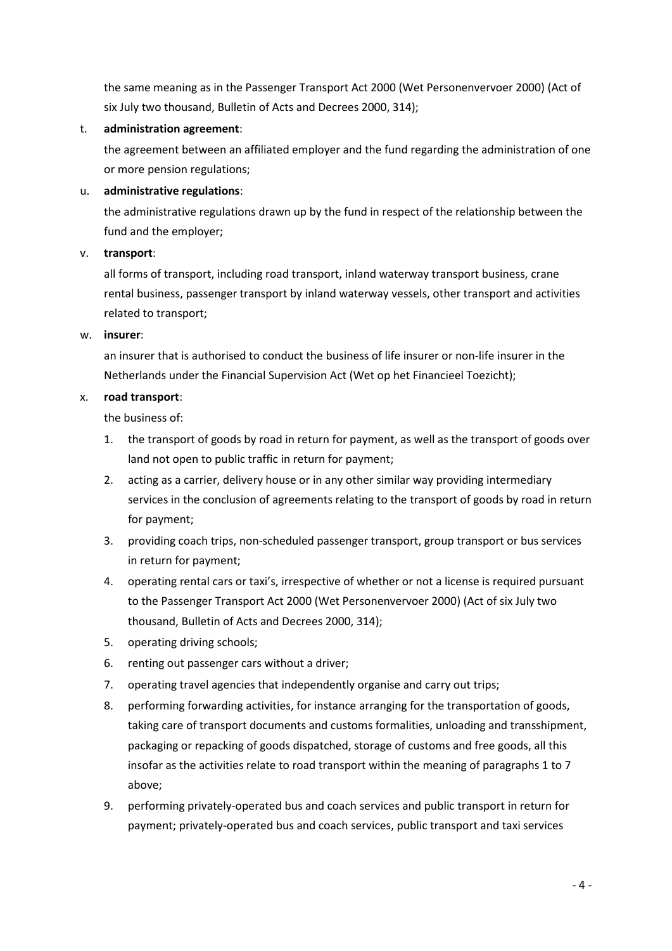the same meaning as in the Passenger Transport Act 2000 (Wet Personenvervoer 2000) (Act of six July two thousand, Bulletin of Acts and Decrees 2000, 314);

## t. **administration agreement**:

the agreement between an affiliated employer and the fund regarding the administration of one or more pension regulations;

## u. **administrative regulations**:

the administrative regulations drawn up by the fund in respect of the relationship between the fund and the employer;

## v. **transport**:

all forms of transport, including road transport, inland waterway transport business, crane rental business, passenger transport by inland waterway vessels, other transport and activities related to transport;

#### w. **insurer**:

an insurer that is authorised to conduct the business of life insurer or non-life insurer in the Netherlands under the Financial Supervision Act (Wet op het Financieel Toezicht);

## x. **road transport**:

the business of:

- 1. the transport of goods by road in return for payment, as well as the transport of goods over land not open to public traffic in return for payment;
- 2. acting as a carrier, delivery house or in any other similar way providing intermediary services in the conclusion of agreements relating to the transport of goods by road in return for payment;
- 3. providing coach trips, non-scheduled passenger transport, group transport or bus services in return for payment;
- 4. operating rental cars or taxi's, irrespective of whether or not a license is required pursuant to the Passenger Transport Act 2000 (Wet Personenvervoer 2000) (Act of six July two thousand, Bulletin of Acts and Decrees 2000, 314);
- 5. operating driving schools;
- 6. renting out passenger cars without a driver;
- 7. operating travel agencies that independently organise and carry out trips;
- 8. performing forwarding activities, for instance arranging for the transportation of goods, taking care of transport documents and customs formalities, unloading and transshipment, packaging or repacking of goods dispatched, storage of customs and free goods, all this insofar as the activities relate to road transport within the meaning of paragraphs 1 to 7 above;
- 9. performing privately-operated bus and coach services and public transport in return for payment; privately-operated bus and coach services, public transport and taxi services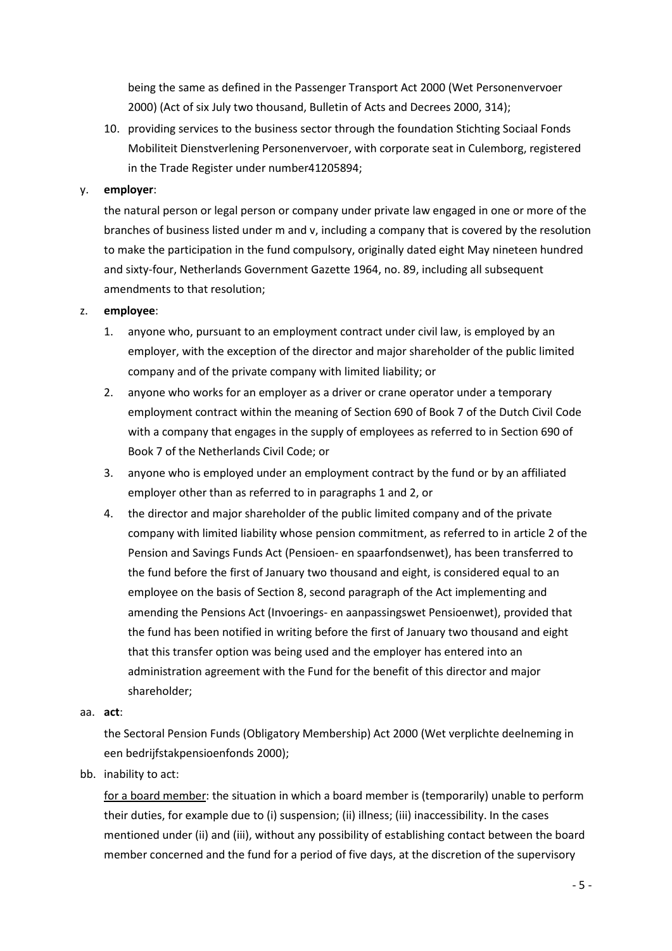being the same as defined in the Passenger Transport Act 2000 (Wet Personenvervoer 2000) (Act of six July two thousand, Bulletin of Acts and Decrees 2000, 314);

10. providing services to the business sector through the foundation Stichting Sociaal Fonds Mobiliteit Dienstverlening Personenvervoer, with corporate seat in Culemborg, registered in the Trade Register under number41205894;

#### y. **employer**:

the natural person or legal person or company under private law engaged in one or more of the branches of business listed under m and v, including a company that is covered by the resolution to make the participation in the fund compulsory, originally dated eight May nineteen hundred and sixty-four, Netherlands Government Gazette 1964, no. 89, including all subsequent amendments to that resolution;

#### z. **employee**:

- 1. anyone who, pursuant to an employment contract under civil law, is employed by an employer, with the exception of the director and major shareholder of the public limited company and of the private company with limited liability; or
- 2. anyone who works for an employer as a driver or crane operator under a temporary employment contract within the meaning of Section 690 of Book 7 of the Dutch Civil Code with a company that engages in the supply of employees as referred to in Section 690 of Book 7 of the Netherlands Civil Code; or
- 3. anyone who is employed under an employment contract by the fund or by an affiliated employer other than as referred to in paragraphs 1 and 2, or
- 4. the director and major shareholder of the public limited company and of the private company with limited liability whose pension commitment, as referred to in article 2 of the Pension and Savings Funds Act (Pensioen- en spaarfondsenwet), has been transferred to the fund before the first of January two thousand and eight, is considered equal to an employee on the basis of Section 8, second paragraph of the Act implementing and amending the Pensions Act (Invoerings- en aanpassingswet Pensioenwet), provided that the fund has been notified in writing before the first of January two thousand and eight that this transfer option was being used and the employer has entered into an administration agreement with the Fund for the benefit of this director and major shareholder;
- aa. **act**:

the Sectoral Pension Funds (Obligatory Membership) Act 2000 (Wet verplichte deelneming in een bedrijfstakpensioenfonds 2000);

bb. inability to act:

for a board member: the situation in which a board member is (temporarily) unable to perform their duties, for example due to (i) suspension; (ii) illness; (iii) inaccessibility. In the cases mentioned under (ii) and (iii), without any possibility of establishing contact between the board member concerned and the fund for a period of five days, at the discretion of the supervisory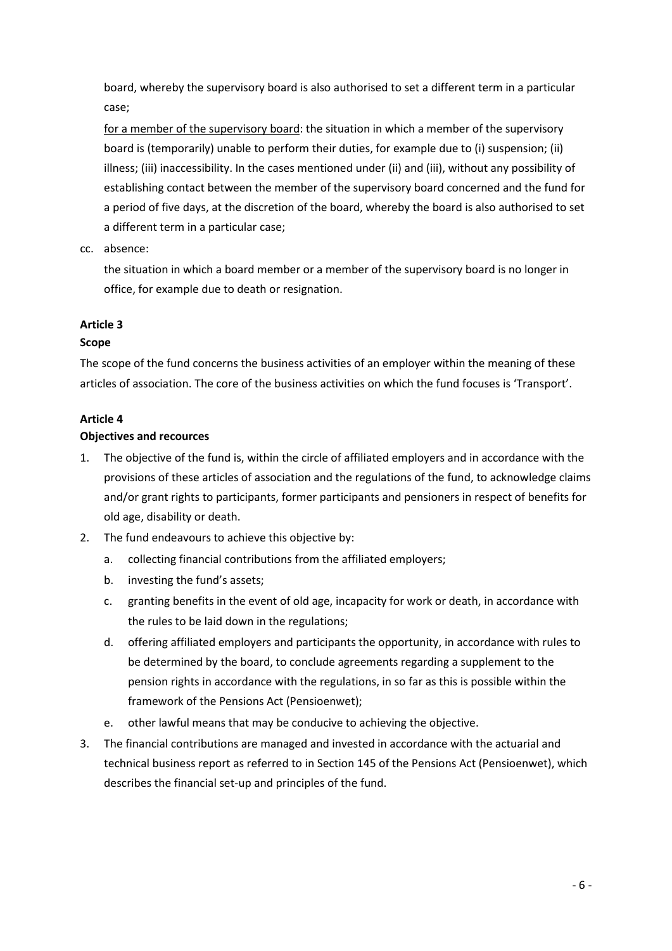board, whereby the supervisory board is also authorised to set a different term in a particular case;

for a member of the supervisory board: the situation in which a member of the supervisory board is (temporarily) unable to perform their duties, for example due to (i) suspension; (ii) illness; (iii) inaccessibility. In the cases mentioned under (ii) and (iii), without any possibility of establishing contact between the member of the supervisory board concerned and the fund for a period of five days, at the discretion of the board, whereby the board is also authorised to set a different term in a particular case;

cc. absence:

the situation in which a board member or a member of the supervisory board is no longer in office, for example due to death or resignation.

# **Article 3**

# **Scope**

The scope of the fund concerns the business activities of an employer within the meaning of these articles of association. The core of the business activities on which the fund focuses is 'Transport'.

# **Article 4**

# **Objectives and recources**

- 1. The objective of the fund is, within the circle of affiliated employers and in accordance with the provisions of these articles of association and the regulations of the fund, to acknowledge claims and/or grant rights to participants, former participants and pensioners in respect of benefits for old age, disability or death.
- 2. The fund endeavours to achieve this objective by:
	- a. collecting financial contributions from the affiliated employers;
	- b. investing the fund's assets;
	- c. granting benefits in the event of old age, incapacity for work or death, in accordance with the rules to be laid down in the regulations;
	- d. offering affiliated employers and participants the opportunity, in accordance with rules to be determined by the board, to conclude agreements regarding a supplement to the pension rights in accordance with the regulations, in so far as this is possible within the framework of the Pensions Act (Pensioenwet);
	- e. other lawful means that may be conducive to achieving the objective.
- 3. The financial contributions are managed and invested in accordance with the actuarial and technical business report as referred to in Section 145 of the Pensions Act (Pensioenwet), which describes the financial set-up and principles of the fund.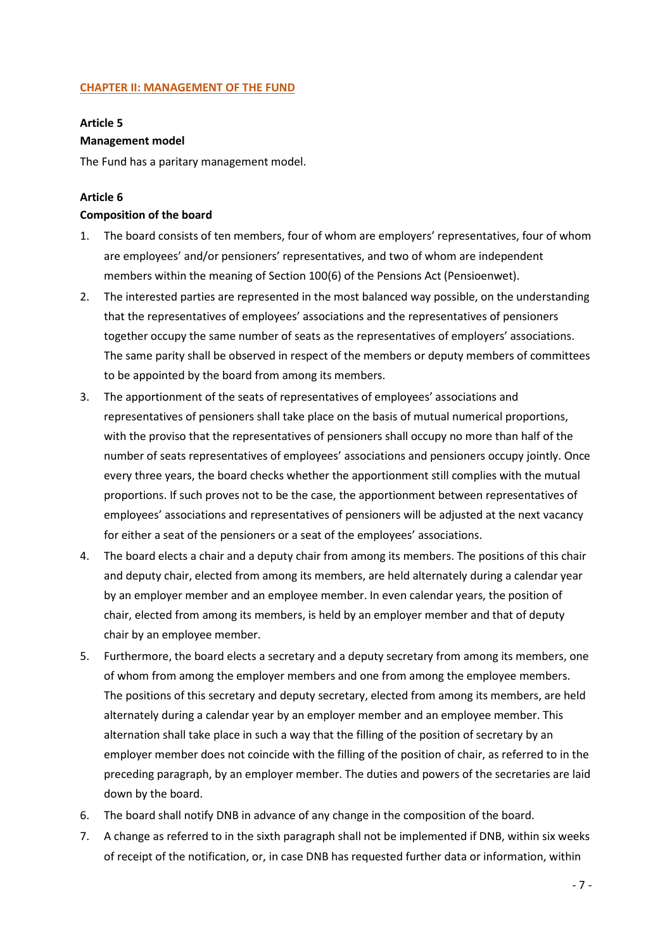## **CHAPTER II: MANAGEMENT OF THE FUND**

## **Article 5**

# **Management model**

The Fund has a paritary management model.

# **Article 6**

#### **Composition of the board**

- 1. The board consists of ten members, four of whom are employers' representatives, four of whom are employees' and/or pensioners' representatives, and two of whom are independent members within the meaning of Section 100(6) of the Pensions Act (Pensioenwet).
- 2. The interested parties are represented in the most balanced way possible, on the understanding that the representatives of employees' associations and the representatives of pensioners together occupy the same number of seats as the representatives of employers' associations. The same parity shall be observed in respect of the members or deputy members of committees to be appointed by the board from among its members.
- 3. The apportionment of the seats of representatives of employees' associations and representatives of pensioners shall take place on the basis of mutual numerical proportions, with the proviso that the representatives of pensioners shall occupy no more than half of the number of seats representatives of employees' associations and pensioners occupy jointly. Once every three years, the board checks whether the apportionment still complies with the mutual proportions. If such proves not to be the case, the apportionment between representatives of employees' associations and representatives of pensioners will be adjusted at the next vacancy for either a seat of the pensioners or a seat of the employees' associations.
- 4. The board elects a chair and a deputy chair from among its members. The positions of this chair and deputy chair, elected from among its members, are held alternately during a calendar year by an employer member and an employee member. In even calendar years, the position of chair, elected from among its members, is held by an employer member and that of deputy chair by an employee member.
- 5. Furthermore, the board elects a secretary and a deputy secretary from among its members, one of whom from among the employer members and one from among the employee members. The positions of this secretary and deputy secretary, elected from among its members, are held alternately during a calendar year by an employer member and an employee member. This alternation shall take place in such a way that the filling of the position of secretary by an employer member does not coincide with the filling of the position of chair, as referred to in the preceding paragraph, by an employer member. The duties and powers of the secretaries are laid down by the board.
- 6. The board shall notify DNB in advance of any change in the composition of the board.
- 7. A change as referred to in the sixth paragraph shall not be implemented if DNB, within six weeks of receipt of the notification, or, in case DNB has requested further data or information, within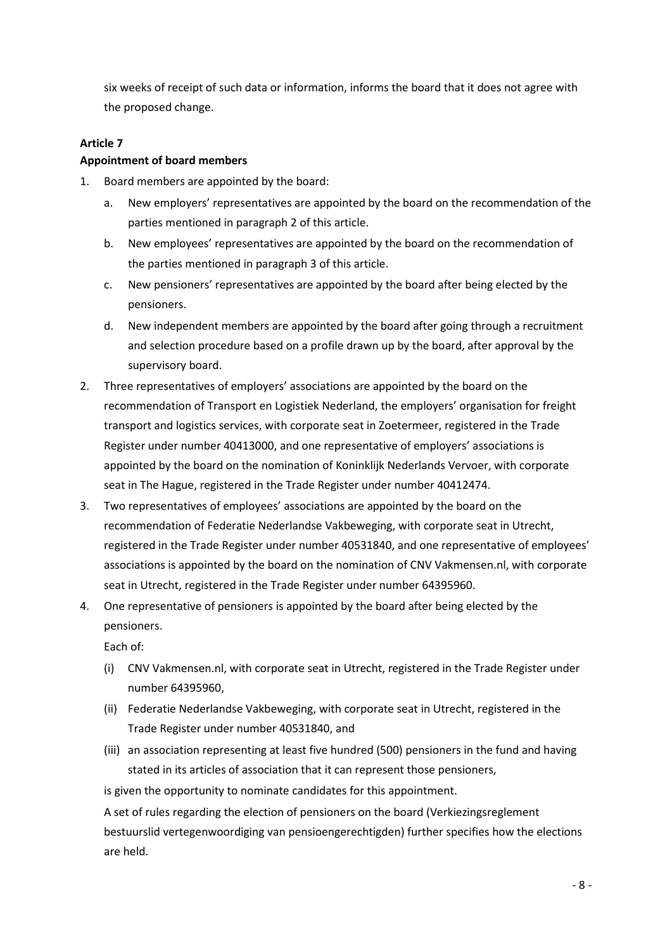six weeks of receipt of such data or information, informs the board that it does not agree with the proposed change.

## **Article 7**

#### **Appointment of board members**

- 1. Board members are appointed by the board:
	- a. New employers' representatives are appointed by the board on the recommendation of the parties mentioned in paragraph 2 of this article.
	- b. New employees' representatives are appointed by the board on the recommendation of the parties mentioned in paragraph 3 of this article.
	- c. New pensioners' representatives are appointed by the board after being elected by the pensioners.
	- d. New independent members are appointed by the board after going through a recruitment and selection procedure based on a profile drawn up by the board, after approval by the supervisory board.
- 2. Three representatives of employers' associations are appointed by the board on the recommendation of Transport en Logistiek Nederland, the employers' organisation for freight transport and logistics services, with corporate seat in Zoetermeer, registered in the Trade Register under number 40413000, and one representative of employers' associations is appointed by the board on the nomination of Koninklijk Nederlands Vervoer, with corporate seat in The Hague, registered in the Trade Register under number 40412474.
- 3. Two representatives of employees' associations are appointed by the board on the recommendation of Federatie Nederlandse Vakbeweging, with corporate seat in Utrecht, registered in the Trade Register under number 40531840, and one representative of employees' associations is appointed by the board on the nomination of CNV Vakmensen.nl, with corporate seat in Utrecht, registered in the Trade Register under number 64395960.
- 4. One representative of pensioners is appointed by the board after being elected by the pensioners.

Each of:

- (i) CNV Vakmensen.nl, with corporate seat in Utrecht, registered in the Trade Register under number 64395960,
- (ii) Federatie Nederlandse Vakbeweging, with corporate seat in Utrecht, registered in the Trade Register under number 40531840, and
- (iii) an association representing at least five hundred (500) pensioners in the fund and having stated in its articles of association that it can represent those pensioners,

is given the opportunity to nominate candidates for this appointment.

A set of rules regarding the election of pensioners on the board (Verkiezingsreglement bestuurslid vertegenwoordiging van pensioengerechtigden) further specifies how the elections are held.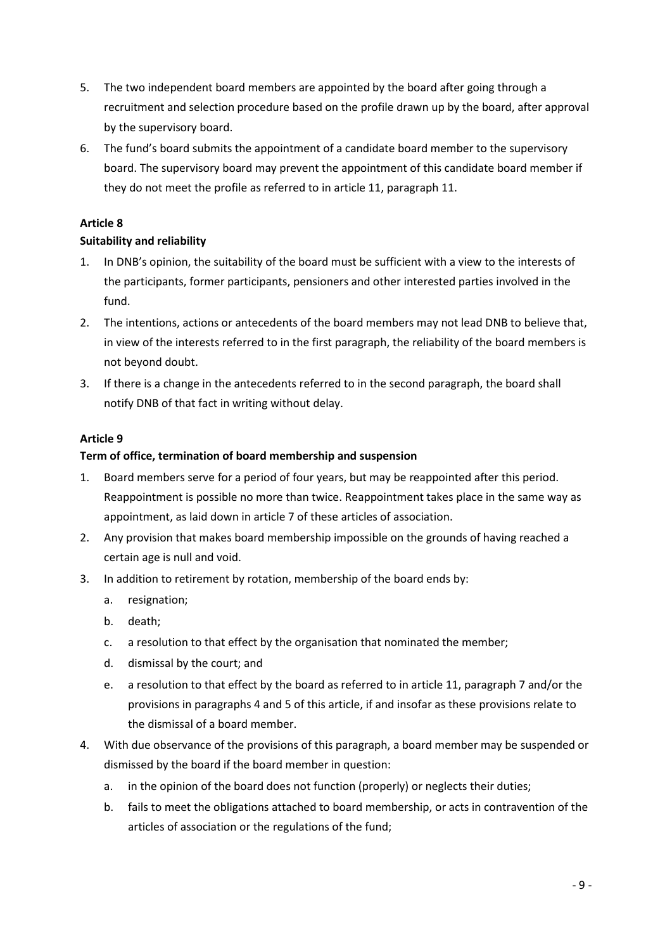- 5. The two independent board members are appointed by the board after going through a recruitment and selection procedure based on the profile drawn up by the board, after approval by the supervisory board.
- 6. The fund's board submits the appointment of a candidate board member to the supervisory board. The supervisory board may prevent the appointment of this candidate board member if they do not meet the profile as referred to in article 11, paragraph 11.

# **Article 8**

# **Suitability and reliability**

- 1. In DNB's opinion, the suitability of the board must be sufficient with a view to the interests of the participants, former participants, pensioners and other interested parties involved in the fund.
- 2. The intentions, actions or antecedents of the board members may not lead DNB to believe that, in view of the interests referred to in the first paragraph, the reliability of the board members is not beyond doubt.
- 3. If there is a change in the antecedents referred to in the second paragraph, the board shall notify DNB of that fact in writing without delay.

# **Article 9**

# **Term of office, termination of board membership and suspension**

- 1. Board members serve for a period of four years, but may be reappointed after this period. Reappointment is possible no more than twice. Reappointment takes place in the same way as appointment, as laid down in article 7 of these articles of association.
- 2. Any provision that makes board membership impossible on the grounds of having reached a certain age is null and void.
- 3. In addition to retirement by rotation, membership of the board ends by:
	- a. resignation;
	- b. death;
	- c. a resolution to that effect by the organisation that nominated the member;
	- d. dismissal by the court; and
	- e. a resolution to that effect by the board as referred to in article 11, paragraph 7 and/or the provisions in paragraphs 4 and 5 of this article, if and insofar as these provisions relate to the dismissal of a board member.
- 4. With due observance of the provisions of this paragraph, a board member may be suspended or dismissed by the board if the board member in question:
	- a. in the opinion of the board does not function (properly) or neglects their duties;
	- b. fails to meet the obligations attached to board membership, or acts in contravention of the articles of association or the regulations of the fund;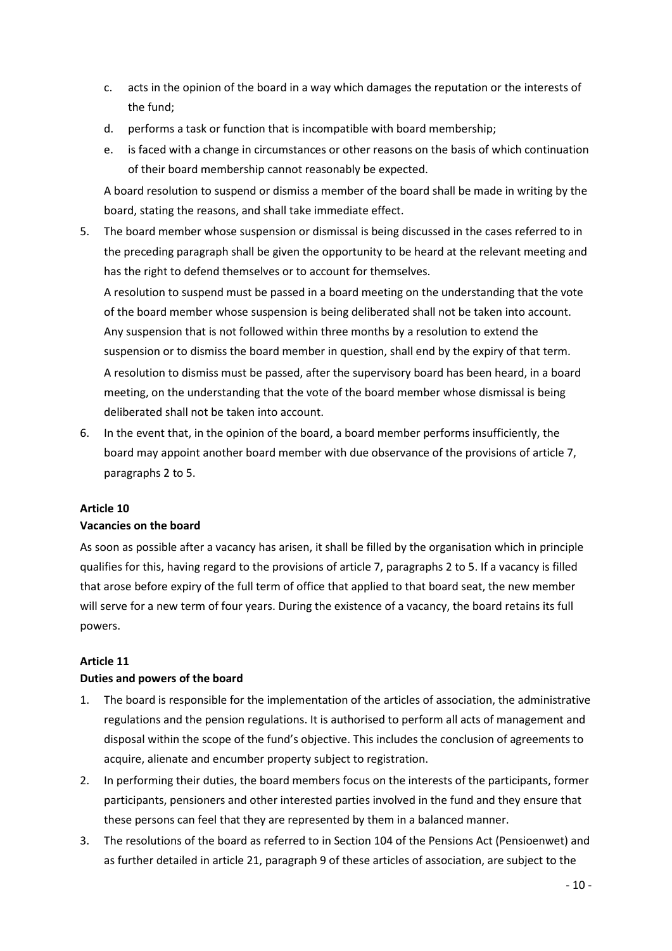- c. acts in the opinion of the board in a way which damages the reputation or the interests of the fund;
- d. performs a task or function that is incompatible with board membership;
- e. is faced with a change in circumstances or other reasons on the basis of which continuation of their board membership cannot reasonably be expected.

A board resolution to suspend or dismiss a member of the board shall be made in writing by the board, stating the reasons, and shall take immediate effect.

5. The board member whose suspension or dismissal is being discussed in the cases referred to in the preceding paragraph shall be given the opportunity to be heard at the relevant meeting and has the right to defend themselves or to account for themselves.

A resolution to suspend must be passed in a board meeting on the understanding that the vote of the board member whose suspension is being deliberated shall not be taken into account. Any suspension that is not followed within three months by a resolution to extend the suspension or to dismiss the board member in question, shall end by the expiry of that term. A resolution to dismiss must be passed, after the supervisory board has been heard, in a board meeting, on the understanding that the vote of the board member whose dismissal is being deliberated shall not be taken into account.

6. In the event that, in the opinion of the board, a board member performs insufficiently, the board may appoint another board member with due observance of the provisions of article 7, paragraphs 2 to 5.

#### **Article 10**

#### **Vacancies on the board**

As soon as possible after a vacancy has arisen, it shall be filled by the organisation which in principle qualifies for this, having regard to the provisions of article 7, paragraphs 2 to 5. If a vacancy is filled that arose before expiry of the full term of office that applied to that board seat, the new member will serve for a new term of four years. During the existence of a vacancy, the board retains its full powers.

#### **Article 11**

#### **Duties and powers of the board**

- 1. The board is responsible for the implementation of the articles of association, the administrative regulations and the pension regulations. It is authorised to perform all acts of management and disposal within the scope of the fund's objective. This includes the conclusion of agreements to acquire, alienate and encumber property subject to registration.
- 2. In performing their duties, the board members focus on the interests of the participants, former participants, pensioners and other interested parties involved in the fund and they ensure that these persons can feel that they are represented by them in a balanced manner.
- 3. The resolutions of the board as referred to in Section 104 of the Pensions Act (Pensioenwet) and as further detailed in article 21, paragraph 9 of these articles of association, are subject to the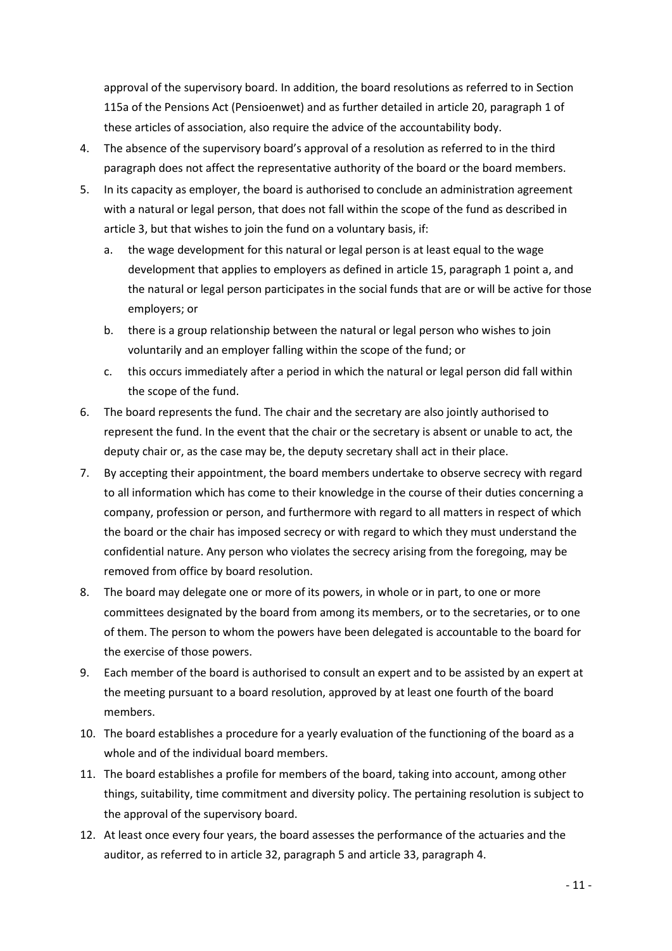approval of the supervisory board. In addition, the board resolutions as referred to in Section 115a of the Pensions Act (Pensioenwet) and as further detailed in article 20, paragraph 1 of these articles of association, also require the advice of the accountability body.

- 4. The absence of the supervisory board's approval of a resolution as referred to in the third paragraph does not affect the representative authority of the board or the board members.
- 5. In its capacity as employer, the board is authorised to conclude an administration agreement with a natural or legal person, that does not fall within the scope of the fund as described in article 3, but that wishes to join the fund on a voluntary basis, if:
	- a. the wage development for this natural or legal person is at least equal to the wage development that applies to employers as defined in article 15, paragraph 1 point a, and the natural or legal person participates in the social funds that are or will be active for those employers; or
	- b. there is a group relationship between the natural or legal person who wishes to join voluntarily and an employer falling within the scope of the fund; or
	- c. this occurs immediately after a period in which the natural or legal person did fall within the scope of the fund.
- 6. The board represents the fund. The chair and the secretary are also jointly authorised to represent the fund. In the event that the chair or the secretary is absent or unable to act, the deputy chair or, as the case may be, the deputy secretary shall act in their place.
- 7. By accepting their appointment, the board members undertake to observe secrecy with regard to all information which has come to their knowledge in the course of their duties concerning a company, profession or person, and furthermore with regard to all matters in respect of which the board or the chair has imposed secrecy or with regard to which they must understand the confidential nature. Any person who violates the secrecy arising from the foregoing, may be removed from office by board resolution.
- 8. The board may delegate one or more of its powers, in whole or in part, to one or more committees designated by the board from among its members, or to the secretaries, or to one of them. The person to whom the powers have been delegated is accountable to the board for the exercise of those powers.
- 9. Each member of the board is authorised to consult an expert and to be assisted by an expert at the meeting pursuant to a board resolution, approved by at least one fourth of the board members.
- 10. The board establishes a procedure for a yearly evaluation of the functioning of the board as a whole and of the individual board members.
- 11. The board establishes a profile for members of the board, taking into account, among other things, suitability, time commitment and diversity policy. The pertaining resolution is subject to the approval of the supervisory board.
- 12. At least once every four years, the board assesses the performance of the actuaries and the auditor, as referred to in article 32, paragraph 5 and article 33, paragraph 4.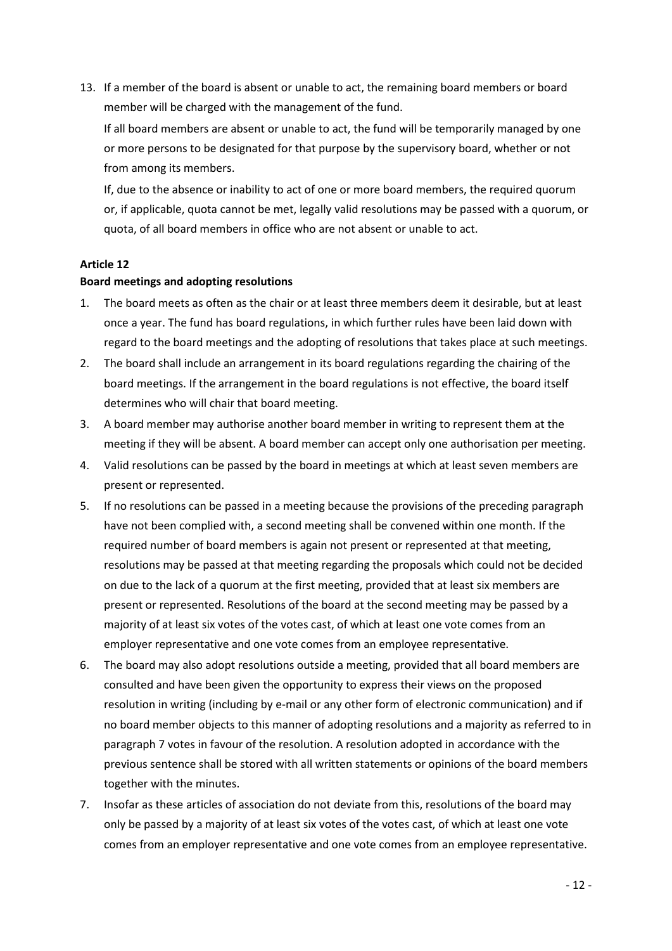13. If a member of the board is absent or unable to act, the remaining board members or board member will be charged with the management of the fund.

If all board members are absent or unable to act, the fund will be temporarily managed by one or more persons to be designated for that purpose by the supervisory board, whether or not from among its members.

If, due to the absence or inability to act of one or more board members, the required quorum or, if applicable, quota cannot be met, legally valid resolutions may be passed with a quorum, or quota, of all board members in office who are not absent or unable to act.

## **Article 12**

#### **Board meetings and adopting resolutions**

- 1. The board meets as often as the chair or at least three members deem it desirable, but at least once a year. The fund has board regulations, in which further rules have been laid down with regard to the board meetings and the adopting of resolutions that takes place at such meetings.
- 2. The board shall include an arrangement in its board regulations regarding the chairing of the board meetings. If the arrangement in the board regulations is not effective, the board itself determines who will chair that board meeting.
- 3. A board member may authorise another board member in writing to represent them at the meeting if they will be absent. A board member can accept only one authorisation per meeting.
- 4. Valid resolutions can be passed by the board in meetings at which at least seven members are present or represented.
- 5. If no resolutions can be passed in a meeting because the provisions of the preceding paragraph have not been complied with, a second meeting shall be convened within one month. If the required number of board members is again not present or represented at that meeting, resolutions may be passed at that meeting regarding the proposals which could not be decided on due to the lack of a quorum at the first meeting, provided that at least six members are present or represented. Resolutions of the board at the second meeting may be passed by a majority of at least six votes of the votes cast, of which at least one vote comes from an employer representative and one vote comes from an employee representative.
- 6. The board may also adopt resolutions outside a meeting, provided that all board members are consulted and have been given the opportunity to express their views on the proposed resolution in writing (including by e-mail or any other form of electronic communication) and if no board member objects to this manner of adopting resolutions and a majority as referred to in paragraph 7 votes in favour of the resolution. A resolution adopted in accordance with the previous sentence shall be stored with all written statements or opinions of the board members together with the minutes.
- 7. Insofar as these articles of association do not deviate from this, resolutions of the board may only be passed by a majority of at least six votes of the votes cast, of which at least one vote comes from an employer representative and one vote comes from an employee representative.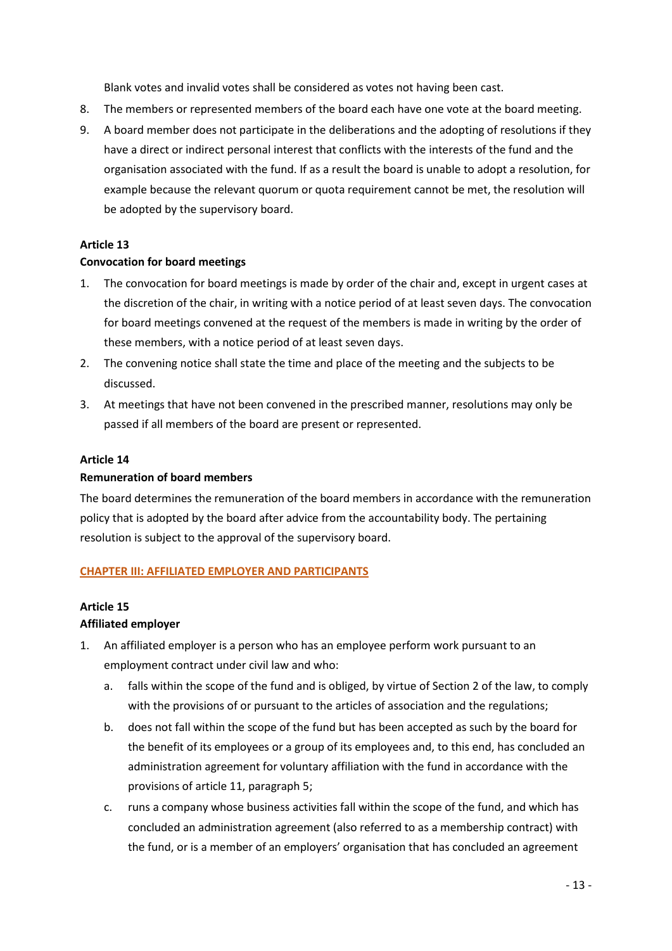Blank votes and invalid votes shall be considered as votes not having been cast.

- 8. The members or represented members of the board each have one vote at the board meeting.
- 9. A board member does not participate in the deliberations and the adopting of resolutions if they have a direct or indirect personal interest that conflicts with the interests of the fund and the organisation associated with the fund. If as a result the board is unable to adopt a resolution, for example because the relevant quorum or quota requirement cannot be met, the resolution will be adopted by the supervisory board.

#### **Article 13**

#### **Convocation for board meetings**

- 1. The convocation for board meetings is made by order of the chair and, except in urgent cases at the discretion of the chair, in writing with a notice period of at least seven days. The convocation for board meetings convened at the request of the members is made in writing by the order of these members, with a notice period of at least seven days.
- 2. The convening notice shall state the time and place of the meeting and the subjects to be discussed.
- 3. At meetings that have not been convened in the prescribed manner, resolutions may only be passed if all members of the board are present or represented.

#### **Article 14**

## **Remuneration of board members**

The board determines the remuneration of the board members in accordance with the remuneration policy that is adopted by the board after advice from the accountability body. The pertaining resolution is subject to the approval of the supervisory board.

#### **CHAPTER III: AFFILIATED EMPLOYER AND PARTICIPANTS**

#### **Article 15**

#### **Affiliated employer**

- 1. An affiliated employer is a person who has an employee perform work pursuant to an employment contract under civil law and who:
	- a. falls within the scope of the fund and is obliged, by virtue of Section 2 of the law, to comply with the provisions of or pursuant to the articles of association and the regulations;
	- b. does not fall within the scope of the fund but has been accepted as such by the board for the benefit of its employees or a group of its employees and, to this end, has concluded an administration agreement for voluntary affiliation with the fund in accordance with the provisions of article 11, paragraph 5;
	- c. runs a company whose business activities fall within the scope of the fund, and which has concluded an administration agreement (also referred to as a membership contract) with the fund, or is a member of an employers' organisation that has concluded an agreement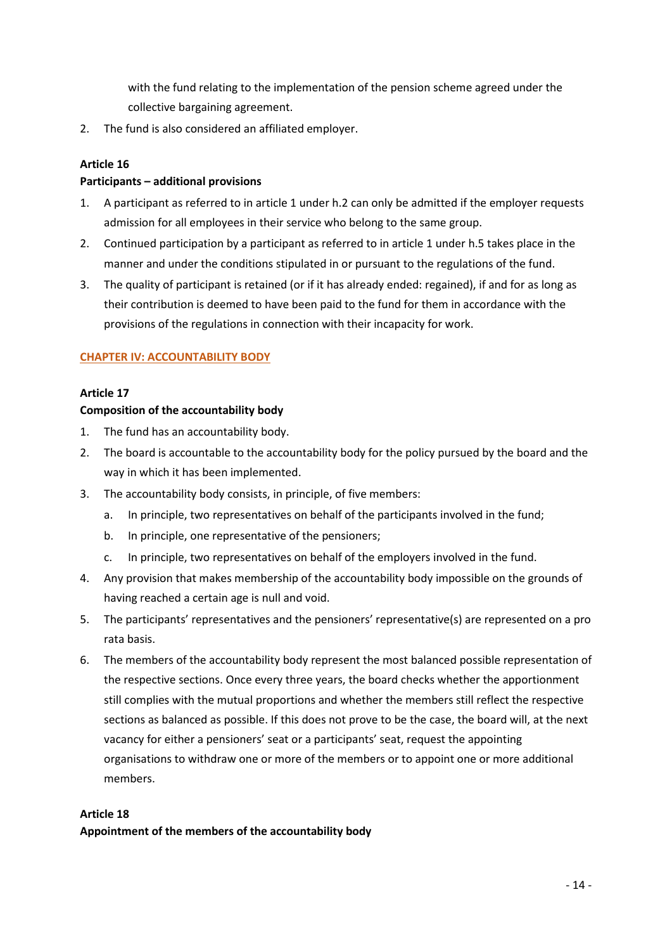with the fund relating to the implementation of the pension scheme agreed under the collective bargaining agreement.

2. The fund is also considered an affiliated employer.

# **Article 16**

# **Participants – additional provisions**

- 1. A participant as referred to in article 1 under h.2 can only be admitted if the employer requests admission for all employees in their service who belong to the same group.
- 2. Continued participation by a participant as referred to in article 1 under h.5 takes place in the manner and under the conditions stipulated in or pursuant to the regulations of the fund.
- 3. The quality of participant is retained (or if it has already ended: regained), if and for as long as their contribution is deemed to have been paid to the fund for them in accordance with the provisions of the regulations in connection with their incapacity for work.

## **CHAPTER IV: ACCOUNTABILITY BODY**

## **Article 17**

## **Composition of the accountability body**

- 1. The fund has an accountability body.
- 2. The board is accountable to the accountability body for the policy pursued by the board and the way in which it has been implemented.
- 3. The accountability body consists, in principle, of five members:
	- a. In principle, two representatives on behalf of the participants involved in the fund;
	- b. In principle, one representative of the pensioners;
	- c. In principle, two representatives on behalf of the employers involved in the fund.
- 4. Any provision that makes membership of the accountability body impossible on the grounds of having reached a certain age is null and void.
- 5. The participants' representatives and the pensioners' representative(s) are represented on a pro rata basis.
- 6. The members of the accountability body represent the most balanced possible representation of the respective sections. Once every three years, the board checks whether the apportionment still complies with the mutual proportions and whether the members still reflect the respective sections as balanced as possible. If this does not prove to be the case, the board will, at the next vacancy for either a pensioners' seat or a participants' seat, request the appointing organisations to withdraw one or more of the members or to appoint one or more additional members.

#### **Article 18**

**Appointment of the members of the accountability body**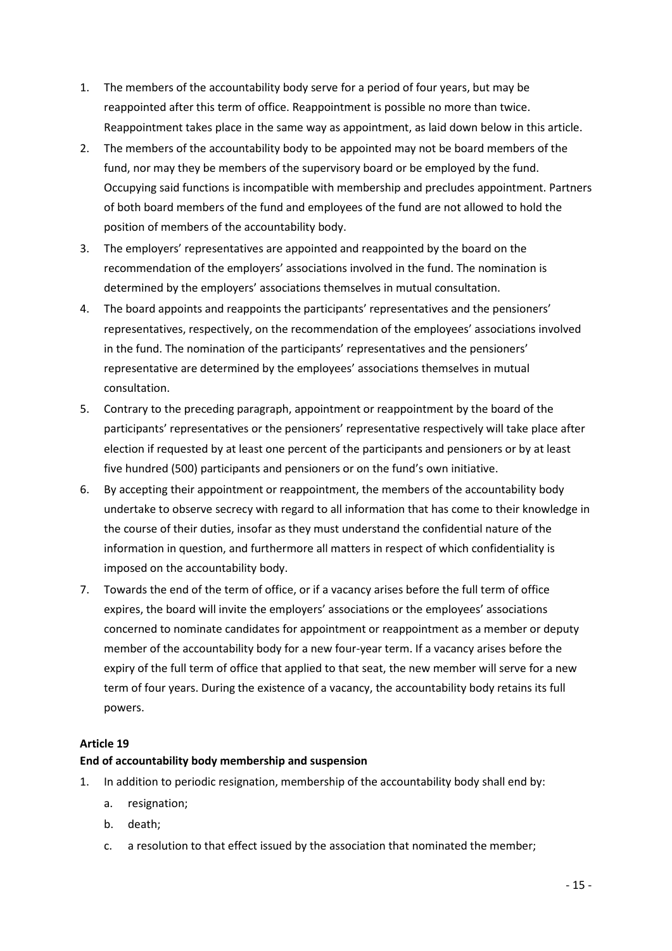- 1. The members of the accountability body serve for a period of four years, but may be reappointed after this term of office. Reappointment is possible no more than twice. Reappointment takes place in the same way as appointment, as laid down below in this article.
- 2. The members of the accountability body to be appointed may not be board members of the fund, nor may they be members of the supervisory board or be employed by the fund. Occupying said functions is incompatible with membership and precludes appointment. Partners of both board members of the fund and employees of the fund are not allowed to hold the position of members of the accountability body.
- 3. The employers' representatives are appointed and reappointed by the board on the recommendation of the employers' associations involved in the fund. The nomination is determined by the employers' associations themselves in mutual consultation.
- 4. The board appoints and reappoints the participants' representatives and the pensioners' representatives, respectively, on the recommendation of the employees' associations involved in the fund. The nomination of the participants' representatives and the pensioners' representative are determined by the employees' associations themselves in mutual consultation.
- 5. Contrary to the preceding paragraph, appointment or reappointment by the board of the participants' representatives or the pensioners' representative respectively will take place after election if requested by at least one percent of the participants and pensioners or by at least five hundred (500) participants and pensioners or on the fund's own initiative.
- 6. By accepting their appointment or reappointment, the members of the accountability body undertake to observe secrecy with regard to all information that has come to their knowledge in the course of their duties, insofar as they must understand the confidential nature of the information in question, and furthermore all matters in respect of which confidentiality is imposed on the accountability body.
- 7. Towards the end of the term of office, or if a vacancy arises before the full term of office expires, the board will invite the employers' associations or the employees' associations concerned to nominate candidates for appointment or reappointment as a member or deputy member of the accountability body for a new four-year term. If a vacancy arises before the expiry of the full term of office that applied to that seat, the new member will serve for a new term of four years. During the existence of a vacancy, the accountability body retains its full powers.

# **Article 19**

# **End of accountability body membership and suspension**

- 1. In addition to periodic resignation, membership of the accountability body shall end by:
	- a. resignation;
	- b. death;
	- c. a resolution to that effect issued by the association that nominated the member;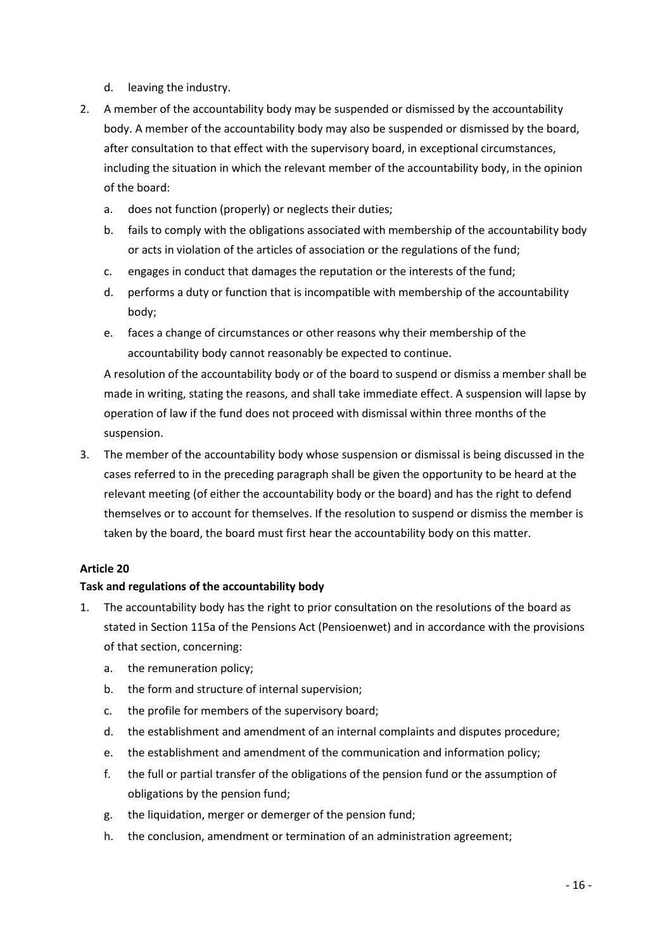- d. leaving the industry.
- 2. A member of the accountability body may be suspended or dismissed by the accountability body. A member of the accountability body may also be suspended or dismissed by the board, after consultation to that effect with the supervisory board, in exceptional circumstances, including the situation in which the relevant member of the accountability body, in the opinion of the board:
	- a. does not function (properly) or neglects their duties;
	- b. fails to comply with the obligations associated with membership of the accountability body or acts in violation of the articles of association or the regulations of the fund;
	- c. engages in conduct that damages the reputation or the interests of the fund;
	- d. performs a duty or function that is incompatible with membership of the accountability body;
	- e. faces a change of circumstances or other reasons why their membership of the accountability body cannot reasonably be expected to continue.

A resolution of the accountability body or of the board to suspend or dismiss a member shall be made in writing, stating the reasons, and shall take immediate effect. A suspension will lapse by operation of law if the fund does not proceed with dismissal within three months of the suspension.

3. The member of the accountability body whose suspension or dismissal is being discussed in the cases referred to in the preceding paragraph shall be given the opportunity to be heard at the relevant meeting (of either the accountability body or the board) and has the right to defend themselves or to account for themselves. If the resolution to suspend or dismiss the member is taken by the board, the board must first hear the accountability body on this matter.

#### **Article 20**

#### **Task and regulations of the accountability body**

- 1. The accountability body has the right to prior consultation on the resolutions of the board as stated in Section 115a of the Pensions Act (Pensioenwet) and in accordance with the provisions of that section, concerning:
	- a. the remuneration policy;
	- b. the form and structure of internal supervision;
	- c. the profile for members of the supervisory board;
	- d. the establishment and amendment of an internal complaints and disputes procedure;
	- e. the establishment and amendment of the communication and information policy;
	- f. the full or partial transfer of the obligations of the pension fund or the assumption of obligations by the pension fund;
	- g. the liquidation, merger or demerger of the pension fund;
	- h. the conclusion, amendment or termination of an administration agreement;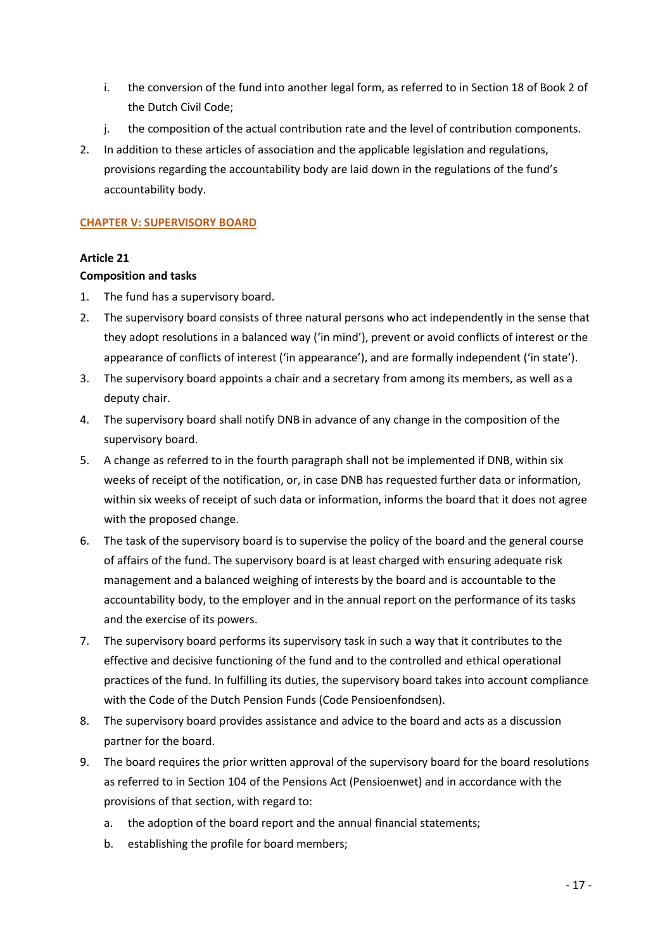- i. the conversion of the fund into another legal form, as referred to in Section 18 of Book 2 of the Dutch Civil Code;
- j. the composition of the actual contribution rate and the level of contribution components.
- 2. In addition to these articles of association and the applicable legislation and regulations, provisions regarding the accountability body are laid down in the regulations of the fund's accountability body.

## **CHAPTER V: SUPERVISORY BOARD**

## **Article 21**

#### **Composition and tasks**

- 1. The fund has a supervisory board.
- 2. The supervisory board consists of three natural persons who act independently in the sense that they adopt resolutions in a balanced way ('in mind'), prevent or avoid conflicts of interest or the appearance of conflicts of interest ('in appearance'), and are formally independent ('in state').
- 3. The supervisory board appoints a chair and a secretary from among its members, as well as a deputy chair.
- 4. The supervisory board shall notify DNB in advance of any change in the composition of the supervisory board.
- 5. A change as referred to in the fourth paragraph shall not be implemented if DNB, within six weeks of receipt of the notification, or, in case DNB has requested further data or information, within six weeks of receipt of such data or information, informs the board that it does not agree with the proposed change.
- 6. The task of the supervisory board is to supervise the policy of the board and the general course of affairs of the fund. The supervisory board is at least charged with ensuring adequate risk management and a balanced weighing of interests by the board and is accountable to the accountability body, to the employer and in the annual report on the performance of its tasks and the exercise of its powers.
- 7. The supervisory board performs its supervisory task in such a way that it contributes to the effective and decisive functioning of the fund and to the controlled and ethical operational practices of the fund. In fulfilling its duties, the supervisory board takes into account compliance with the Code of the Dutch Pension Funds (Code Pensioenfondsen).
- 8. The supervisory board provides assistance and advice to the board and acts as a discussion partner for the board.
- 9. The board requires the prior written approval of the supervisory board for the board resolutions as referred to in Section 104 of the Pensions Act (Pensioenwet) and in accordance with the provisions of that section, with regard to:
	- a. the adoption of the board report and the annual financial statements;
	- b. establishing the profile for board members;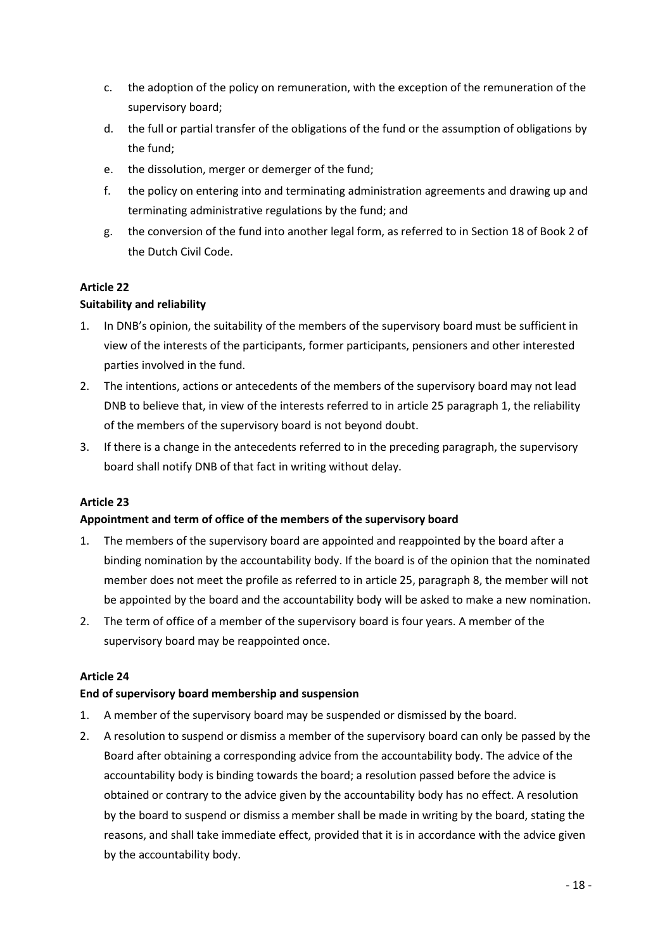- c. the adoption of the policy on remuneration, with the exception of the remuneration of the supervisory board;
- d. the full or partial transfer of the obligations of the fund or the assumption of obligations by the fund;
- e. the dissolution, merger or demerger of the fund;
- f. the policy on entering into and terminating administration agreements and drawing up and terminating administrative regulations by the fund; and
- g. the conversion of the fund into another legal form, as referred to in Section 18 of Book 2 of the Dutch Civil Code.

# **Article 22**

# **Suitability and reliability**

- 1. In DNB's opinion, the suitability of the members of the supervisory board must be sufficient in view of the interests of the participants, former participants, pensioners and other interested parties involved in the fund.
- 2. The intentions, actions or antecedents of the members of the supervisory board may not lead DNB to believe that, in view of the interests referred to in article 25 paragraph 1, the reliability of the members of the supervisory board is not beyond doubt.
- 3. If there is a change in the antecedents referred to in the preceding paragraph, the supervisory board shall notify DNB of that fact in writing without delay.

# **Article 23**

# **Appointment and term of office of the members of the supervisory board**

- 1. The members of the supervisory board are appointed and reappointed by the board after a binding nomination by the accountability body. If the board is of the opinion that the nominated member does not meet the profile as referred to in article 25, paragraph 8, the member will not be appointed by the board and the accountability body will be asked to make a new nomination.
- 2. The term of office of a member of the supervisory board is four years. A member of the supervisory board may be reappointed once.

# **Article 24**

# **End of supervisory board membership and suspension**

- 1. A member of the supervisory board may be suspended or dismissed by the board.
- 2. A resolution to suspend or dismiss a member of the supervisory board can only be passed by the Board after obtaining a corresponding advice from the accountability body. The advice of the accountability body is binding towards the board; a resolution passed before the advice is obtained or contrary to the advice given by the accountability body has no effect. A resolution by the board to suspend or dismiss a member shall be made in writing by the board, stating the reasons, and shall take immediate effect, provided that it is in accordance with the advice given by the accountability body.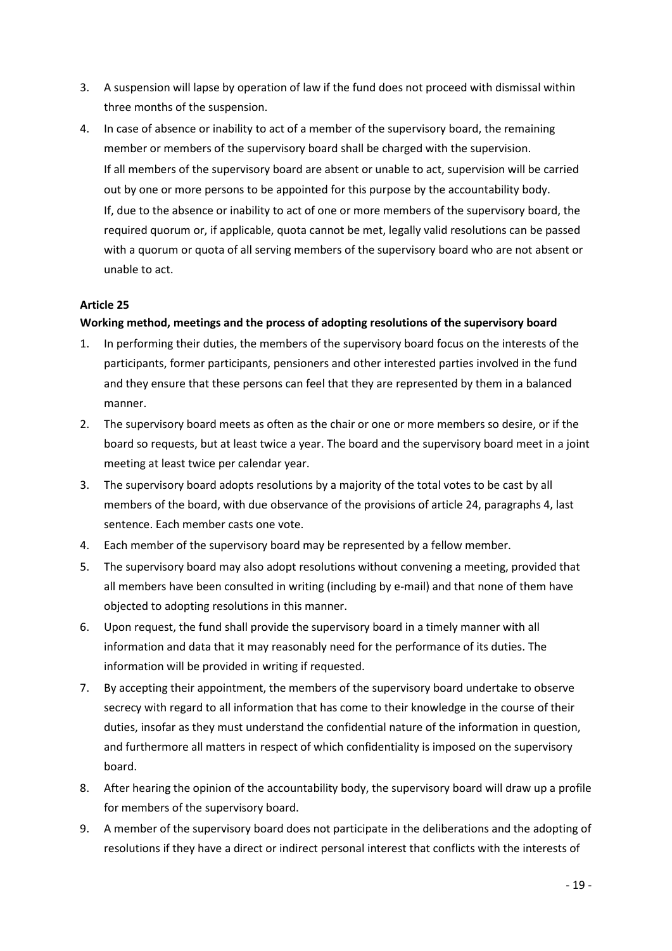- 3. A suspension will lapse by operation of law if the fund does not proceed with dismissal within three months of the suspension.
- 4. In case of absence or inability to act of a member of the supervisory board, the remaining member or members of the supervisory board shall be charged with the supervision. If all members of the supervisory board are absent or unable to act, supervision will be carried out by one or more persons to be appointed for this purpose by the accountability body. If, due to the absence or inability to act of one or more members of the supervisory board, the required quorum or, if applicable, quota cannot be met, legally valid resolutions can be passed with a quorum or quota of all serving members of the supervisory board who are not absent or unable to act.

# **Article 25**

# **Working method, meetings and the process of adopting resolutions of the supervisory board**

- 1. In performing their duties, the members of the supervisory board focus on the interests of the participants, former participants, pensioners and other interested parties involved in the fund and they ensure that these persons can feel that they are represented by them in a balanced manner.
- 2. The supervisory board meets as often as the chair or one or more members so desire, or if the board so requests, but at least twice a year. The board and the supervisory board meet in a joint meeting at least twice per calendar year.
- 3. The supervisory board adopts resolutions by a majority of the total votes to be cast by all members of the board, with due observance of the provisions of article 24, paragraphs 4, last sentence. Each member casts one vote.
- 4. Each member of the supervisory board may be represented by a fellow member.
- 5. The supervisory board may also adopt resolutions without convening a meeting, provided that all members have been consulted in writing (including by e-mail) and that none of them have objected to adopting resolutions in this manner.
- 6. Upon request, the fund shall provide the supervisory board in a timely manner with all information and data that it may reasonably need for the performance of its duties. The information will be provided in writing if requested.
- 7. By accepting their appointment, the members of the supervisory board undertake to observe secrecy with regard to all information that has come to their knowledge in the course of their duties, insofar as they must understand the confidential nature of the information in question, and furthermore all matters in respect of which confidentiality is imposed on the supervisory board.
- 8. After hearing the opinion of the accountability body, the supervisory board will draw up a profile for members of the supervisory board.
- 9. A member of the supervisory board does not participate in the deliberations and the adopting of resolutions if they have a direct or indirect personal interest that conflicts with the interests of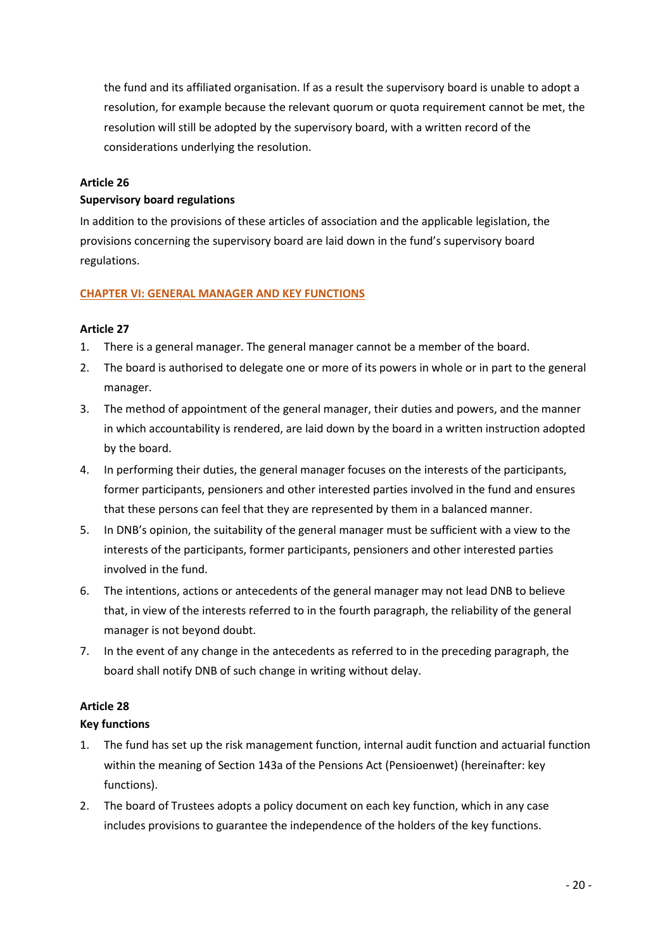the fund and its affiliated organisation. If as a result the supervisory board is unable to adopt a resolution, for example because the relevant quorum or quota requirement cannot be met, the resolution will still be adopted by the supervisory board, with a written record of the considerations underlying the resolution.

#### **Article 26**

#### **Supervisory board regulations**

In addition to the provisions of these articles of association and the applicable legislation, the provisions concerning the supervisory board are laid down in the fund's supervisory board regulations.

## **CHAPTER VI: GENERAL MANAGER AND KEY FUNCTIONS**

## **Article 27**

- 1. There is a general manager. The general manager cannot be a member of the board.
- 2. The board is authorised to delegate one or more of its powers in whole or in part to the general manager.
- 3. The method of appointment of the general manager, their duties and powers, and the manner in which accountability is rendered, are laid down by the board in a written instruction adopted by the board.
- 4. In performing their duties, the general manager focuses on the interests of the participants, former participants, pensioners and other interested parties involved in the fund and ensures that these persons can feel that they are represented by them in a balanced manner.
- 5. In DNB's opinion, the suitability of the general manager must be sufficient with a view to the interests of the participants, former participants, pensioners and other interested parties involved in the fund.
- 6. The intentions, actions or antecedents of the general manager may not lead DNB to believe that, in view of the interests referred to in the fourth paragraph, the reliability of the general manager is not beyond doubt.
- 7. In the event of any change in the antecedents as referred to in the preceding paragraph, the board shall notify DNB of such change in writing without delay.

# **Article 28**

# **Key functions**

- 1. The fund has set up the risk management function, internal audit function and actuarial function within the meaning of Section 143a of the Pensions Act (Pensioenwet) (hereinafter: key functions).
- 2. The board of Trustees adopts a policy document on each key function, which in any case includes provisions to guarantee the independence of the holders of the key functions.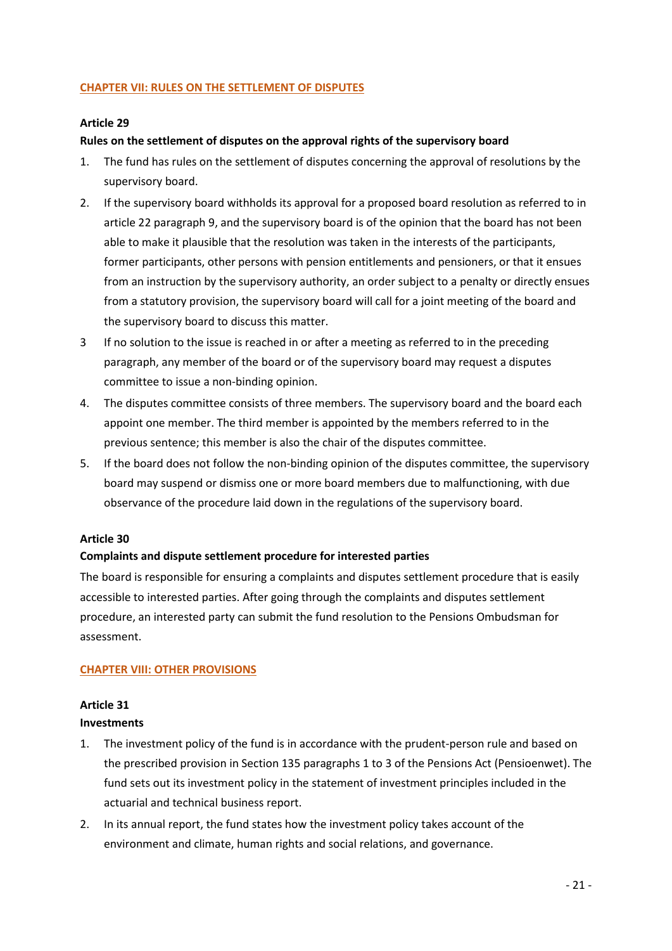## **CHAPTER VII: RULES ON THE SETTLEMENT OF DISPUTES**

#### **Article 29**

## **Rules on the settlement of disputes on the approval rights of the supervisory board**

- 1. The fund has rules on the settlement of disputes concerning the approval of resolutions by the supervisory board.
- 2. If the supervisory board withholds its approval for a proposed board resolution as referred to in article 22 paragraph 9, and the supervisory board is of the opinion that the board has not been able to make it plausible that the resolution was taken in the interests of the participants, former participants, other persons with pension entitlements and pensioners, or that it ensues from an instruction by the supervisory authority, an order subject to a penalty or directly ensues from a statutory provision, the supervisory board will call for a joint meeting of the board and the supervisory board to discuss this matter.
- 3 If no solution to the issue is reached in or after a meeting as referred to in the preceding paragraph, any member of the board or of the supervisory board may request a disputes committee to issue a non-binding opinion.
- 4. The disputes committee consists of three members. The supervisory board and the board each appoint one member. The third member is appointed by the members referred to in the previous sentence; this member is also the chair of the disputes committee.
- 5. If the board does not follow the non-binding opinion of the disputes committee, the supervisory board may suspend or dismiss one or more board members due to malfunctioning, with due observance of the procedure laid down in the regulations of the supervisory board.

#### **Article 30**

#### **Complaints and dispute settlement procedure for interested parties**

The board is responsible for ensuring a complaints and disputes settlement procedure that is easily accessible to interested parties. After going through the complaints and disputes settlement procedure, an interested party can submit the fund resolution to the Pensions Ombudsman for assessment.

#### **CHAPTER VIII: OTHER PROVISIONS**

# **Article 31 Investments**

- 1. The investment policy of the fund is in accordance with the prudent-person rule and based on the prescribed provision in Section 135 paragraphs 1 to 3 of the Pensions Act (Pensioenwet). The fund sets out its investment policy in the statement of investment principles included in the actuarial and technical business report.
- 2. In its annual report, the fund states how the investment policy takes account of the environment and climate, human rights and social relations, and governance.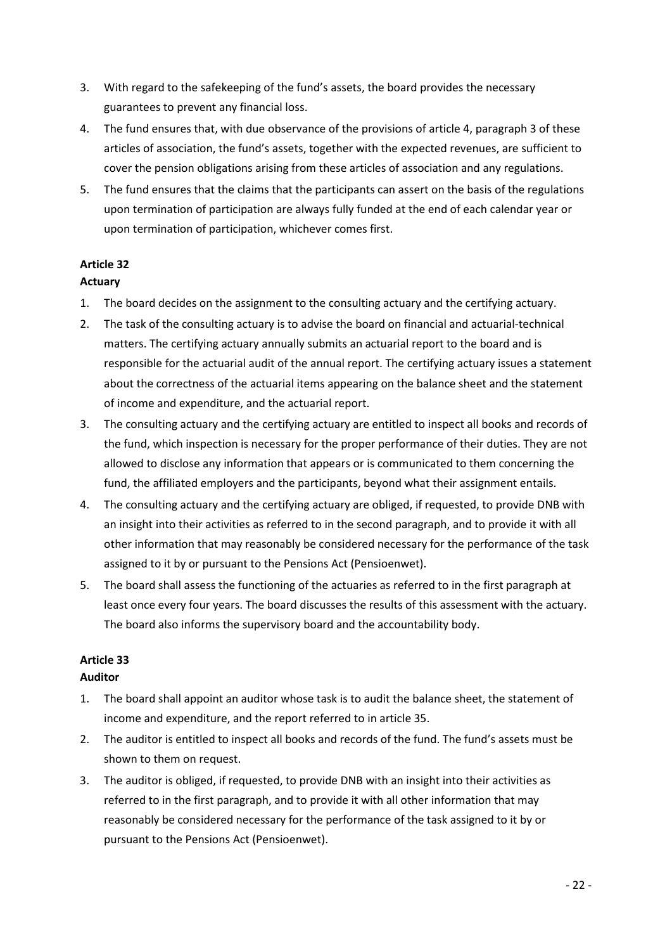- 3. With regard to the safekeeping of the fund's assets, the board provides the necessary guarantees to prevent any financial loss.
- 4. The fund ensures that, with due observance of the provisions of article 4, paragraph 3 of these articles of association, the fund's assets, together with the expected revenues, are sufficient to cover the pension obligations arising from these articles of association and any regulations.
- 5. The fund ensures that the claims that the participants can assert on the basis of the regulations upon termination of participation are always fully funded at the end of each calendar year or upon termination of participation, whichever comes first.

# **Article 32**

# **Actuary**

- 1. The board decides on the assignment to the consulting actuary and the certifying actuary.
- 2. The task of the consulting actuary is to advise the board on financial and actuarial-technical matters. The certifying actuary annually submits an actuarial report to the board and is responsible for the actuarial audit of the annual report. The certifying actuary issues a statement about the correctness of the actuarial items appearing on the balance sheet and the statement of income and expenditure, and the actuarial report.
- 3. The consulting actuary and the certifying actuary are entitled to inspect all books and records of the fund, which inspection is necessary for the proper performance of their duties. They are not allowed to disclose any information that appears or is communicated to them concerning the fund, the affiliated employers and the participants, beyond what their assignment entails.
- 4. The consulting actuary and the certifying actuary are obliged, if requested, to provide DNB with an insight into their activities as referred to in the second paragraph, and to provide it with all other information that may reasonably be considered necessary for the performance of the task assigned to it by or pursuant to the Pensions Act (Pensioenwet).
- 5. The board shall assess the functioning of the actuaries as referred to in the first paragraph at least once every four years. The board discusses the results of this assessment with the actuary. The board also informs the supervisory board and the accountability body.

# **Article 33**

# **Auditor**

- 1. The board shall appoint an auditor whose task is to audit the balance sheet, the statement of income and expenditure, and the report referred to in article 35.
- 2. The auditor is entitled to inspect all books and records of the fund. The fund's assets must be shown to them on request.
- 3. The auditor is obliged, if requested, to provide DNB with an insight into their activities as referred to in the first paragraph, and to provide it with all other information that may reasonably be considered necessary for the performance of the task assigned to it by or pursuant to the Pensions Act (Pensioenwet).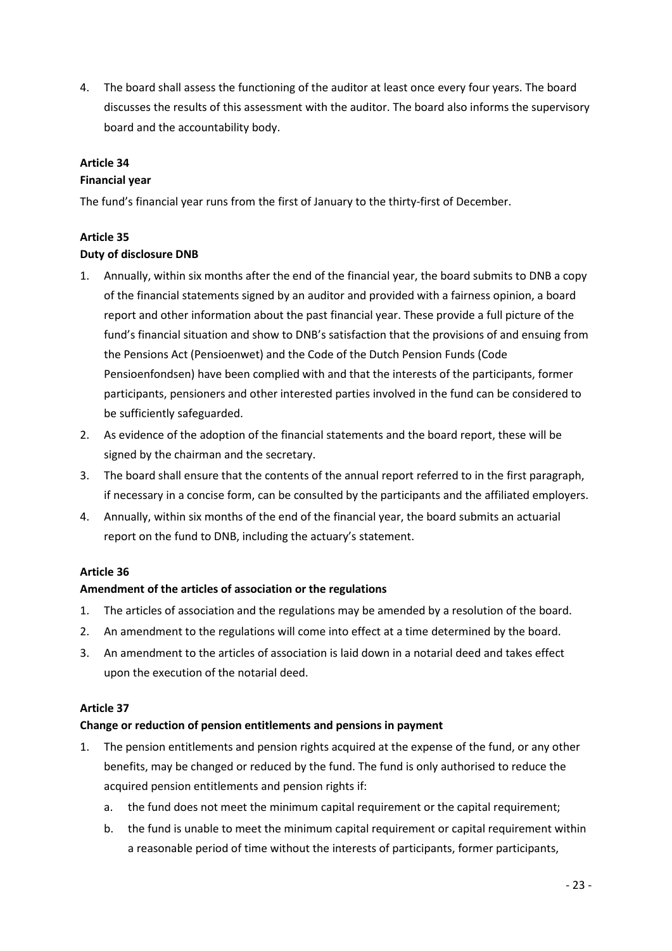4. The board shall assess the functioning of the auditor at least once every four years. The board discusses the results of this assessment with the auditor. The board also informs the supervisory board and the accountability body.

# **Article 34**

#### **Financial year**

The fund's financial year runs from the first of January to the thirty-first of December.

# **Article 35**

## **Duty of disclosure DNB**

- 1. Annually, within six months after the end of the financial year, the board submits to DNB a copy of the financial statements signed by an auditor and provided with a fairness opinion, a board report and other information about the past financial year. These provide a full picture of the fund's financial situation and show to DNB's satisfaction that the provisions of and ensuing from the Pensions Act (Pensioenwet) and the Code of the Dutch Pension Funds (Code Pensioenfondsen) have been complied with and that the interests of the participants, former participants, pensioners and other interested parties involved in the fund can be considered to be sufficiently safeguarded.
- 2. As evidence of the adoption of the financial statements and the board report, these will be signed by the chairman and the secretary.
- 3. The board shall ensure that the contents of the annual report referred to in the first paragraph, if necessary in a concise form, can be consulted by the participants and the affiliated employers.
- 4. Annually, within six months of the end of the financial year, the board submits an actuarial report on the fund to DNB, including the actuary's statement.

# **Article 36**

#### **Amendment of the articles of association or the regulations**

- 1. The articles of association and the regulations may be amended by a resolution of the board.
- 2. An amendment to the regulations will come into effect at a time determined by the board.
- 3. An amendment to the articles of association is laid down in a notarial deed and takes effect upon the execution of the notarial deed.

#### **Article 37**

#### **Change or reduction of pension entitlements and pensions in payment**

- 1. The pension entitlements and pension rights acquired at the expense of the fund, or any other benefits, may be changed or reduced by the fund. The fund is only authorised to reduce the acquired pension entitlements and pension rights if:
	- a. the fund does not meet the minimum capital requirement or the capital requirement;
	- b. the fund is unable to meet the minimum capital requirement or capital requirement within a reasonable period of time without the interests of participants, former participants,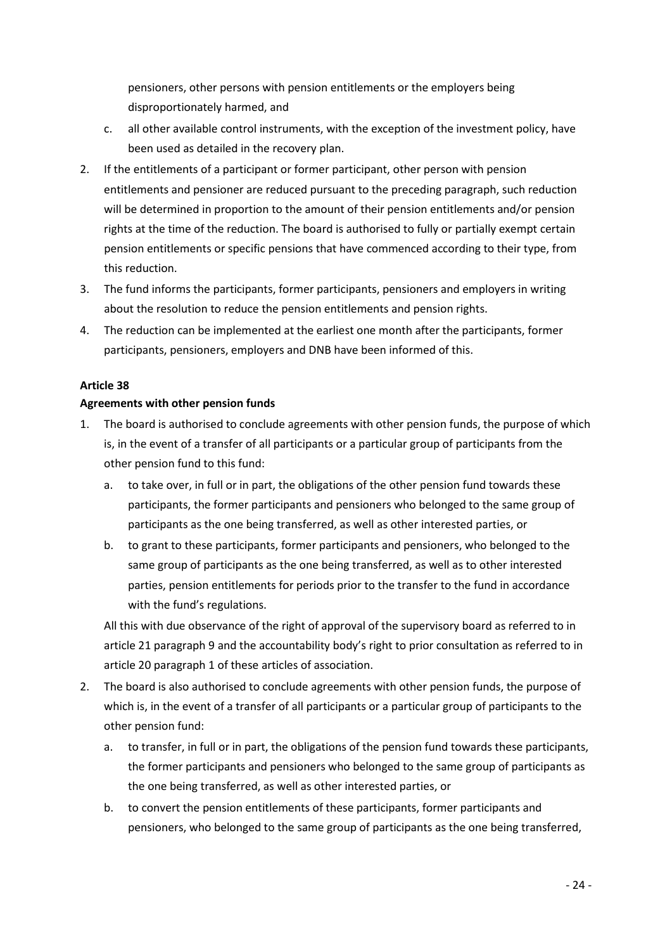pensioners, other persons with pension entitlements or the employers being disproportionately harmed, and

- c. all other available control instruments, with the exception of the investment policy, have been used as detailed in the recovery plan.
- 2. If the entitlements of a participant or former participant, other person with pension entitlements and pensioner are reduced pursuant to the preceding paragraph, such reduction will be determined in proportion to the amount of their pension entitlements and/or pension rights at the time of the reduction. The board is authorised to fully or partially exempt certain pension entitlements or specific pensions that have commenced according to their type, from this reduction.
- 3. The fund informs the participants, former participants, pensioners and employers in writing about the resolution to reduce the pension entitlements and pension rights.
- 4. The reduction can be implemented at the earliest one month after the participants, former participants, pensioners, employers and DNB have been informed of this.

# **Article 38**

## **Agreements with other pension funds**

- 1. The board is authorised to conclude agreements with other pension funds, the purpose of which is, in the event of a transfer of all participants or a particular group of participants from the other pension fund to this fund:
	- a. to take over, in full or in part, the obligations of the other pension fund towards these participants, the former participants and pensioners who belonged to the same group of participants as the one being transferred, as well as other interested parties, or
	- b. to grant to these participants, former participants and pensioners, who belonged to the same group of participants as the one being transferred, as well as to other interested parties, pension entitlements for periods prior to the transfer to the fund in accordance with the fund's regulations.

All this with due observance of the right of approval of the supervisory board as referred to in article 21 paragraph 9 and the accountability body's right to prior consultation as referred to in article 20 paragraph 1 of these articles of association.

- 2. The board is also authorised to conclude agreements with other pension funds, the purpose of which is, in the event of a transfer of all participants or a particular group of participants to the other pension fund:
	- a. to transfer, in full or in part, the obligations of the pension fund towards these participants, the former participants and pensioners who belonged to the same group of participants as the one being transferred, as well as other interested parties, or
	- b. to convert the pension entitlements of these participants, former participants and pensioners, who belonged to the same group of participants as the one being transferred,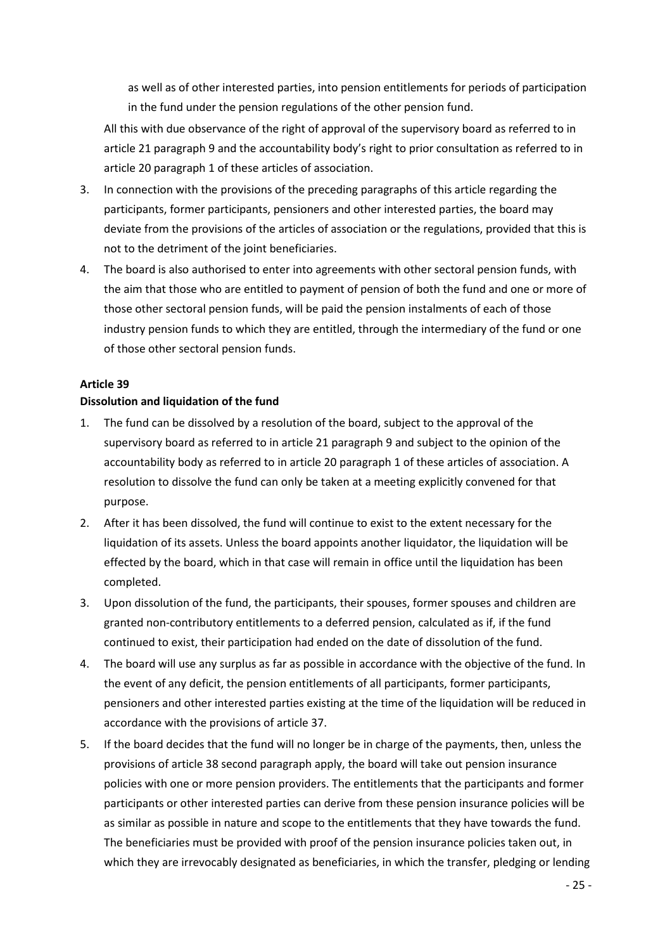as well as of other interested parties, into pension entitlements for periods of participation in the fund under the pension regulations of the other pension fund.

All this with due observance of the right of approval of the supervisory board as referred to in article 21 paragraph 9 and the accountability body's right to prior consultation as referred to in article 20 paragraph 1 of these articles of association.

- 3. In connection with the provisions of the preceding paragraphs of this article regarding the participants, former participants, pensioners and other interested parties, the board may deviate from the provisions of the articles of association or the regulations, provided that this is not to the detriment of the joint beneficiaries.
- 4. The board is also authorised to enter into agreements with other sectoral pension funds, with the aim that those who are entitled to payment of pension of both the fund and one or more of those other sectoral pension funds, will be paid the pension instalments of each of those industry pension funds to which they are entitled, through the intermediary of the fund or one of those other sectoral pension funds.

#### **Article 39**

## **Dissolution and liquidation of the fund**

- 1. The fund can be dissolved by a resolution of the board, subject to the approval of the supervisory board as referred to in article 21 paragraph 9 and subject to the opinion of the accountability body as referred to in article 20 paragraph 1 of these articles of association. A resolution to dissolve the fund can only be taken at a meeting explicitly convened for that purpose.
- 2. After it has been dissolved, the fund will continue to exist to the extent necessary for the liquidation of its assets. Unless the board appoints another liquidator, the liquidation will be effected by the board, which in that case will remain in office until the liquidation has been completed.
- 3. Upon dissolution of the fund, the participants, their spouses, former spouses and children are granted non-contributory entitlements to a deferred pension, calculated as if, if the fund continued to exist, their participation had ended on the date of dissolution of the fund.
- 4. The board will use any surplus as far as possible in accordance with the objective of the fund. In the event of any deficit, the pension entitlements of all participants, former participants, pensioners and other interested parties existing at the time of the liquidation will be reduced in accordance with the provisions of article 37.
- 5. If the board decides that the fund will no longer be in charge of the payments, then, unless the provisions of article 38 second paragraph apply, the board will take out pension insurance policies with one or more pension providers. The entitlements that the participants and former participants or other interested parties can derive from these pension insurance policies will be as similar as possible in nature and scope to the entitlements that they have towards the fund. The beneficiaries must be provided with proof of the pension insurance policies taken out, in which they are irrevocably designated as beneficiaries, in which the transfer, pledging or lending